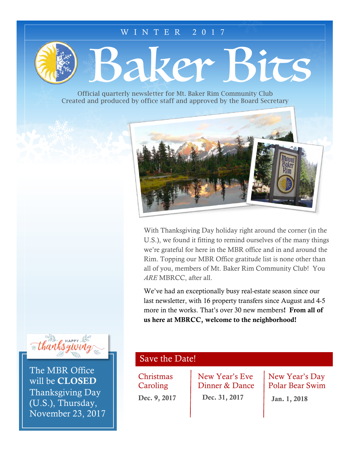#### WINTER 2017

Baker Bits

Official quarterly newsletter for Mt. Baker Rim Community Club Created and produced by office staff and approved by the Board Secretary



With Thanksgiving Day holiday right around the corner (in the U.S.), we found it fitting to remind ourselves of the many things we're grateful for here in the MBR office and in and around the Rim. Topping our MBR Office gratitude list is none other than all of you, members of Mt. Baker Rim Community Club! You *ARE* MBRCC, after all.

We've had an exceptionally busy real-estate season since our last newsletter, with 16 property transfers since August and 4-5 more in the works. That's over 30 new members! From all of us here at MBRCC, welcome to the neighborhood!



The MBR Office will be CLOSED Thanksgiving Day (U.S.), Thursday, November 23, 2017

### Save the Date!

**Christmas Caroling** Dec. 9, 2017 New Year's Eve Dinner & Dance Dec. 31, 2017

New Year's Day Polar Bear Swim

Jan. 1, 2018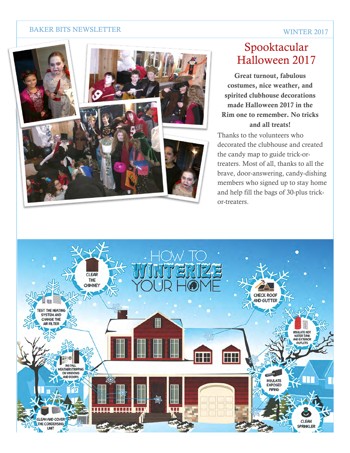#### BAKER BITS NEWSLETTER



# Spooktacular Halloween 2017

Great turnout, fabulous costumes, nice weather, and spirited clubhouse decorations made Halloween 2017 in the Rim one to remember. No tricks and all treats!

Thanks to the volunteers who decorated the clubhouse and created the candy map to guide trick-ortreaters. Most of all, thanks to all the brave, door-answering, candy-dishing members who signed up to stay home and help fill the bags of 30-plus trickor-treaters.